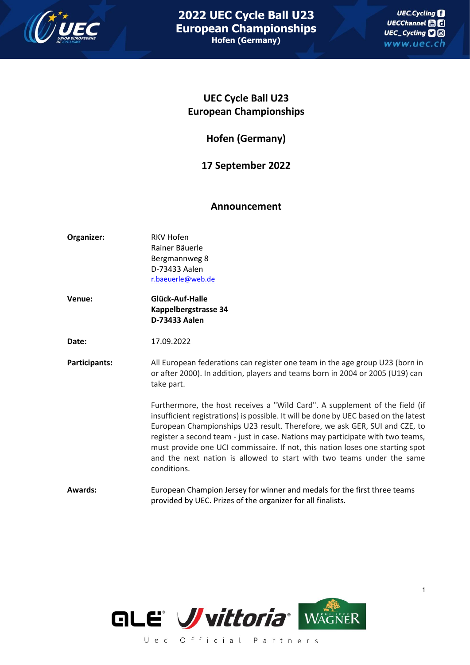

## **UEC Cycle Ball U23 European Championships**

**Hofen (Germany)**

## **17 September 2022**

## **Announcement**

- **Organizer:** RKV Hofen Rainer Bäuerle Bergmannweg 8 D-73433 Aalen [r.baeuerle@web.de](mailto:r.baeuerle@web.de)
- **Venue: Glück-Auf-Halle Kappelbergstrasse 34 D-73433 Aalen**

**Date:** 17.09.2022

**Participants:** All European federations can register one team in the age group U23 (born in or after 2000). In addition, players and teams born in 2004 or 2005 (U19) can take part.

> Furthermore, the host receives a "Wild Card". A supplement of the field (if insufficient registrations) is possible. It will be done by UEC based on the latest European Championships U23 result. Therefore, we ask GER, SUI and CZE, to register a second team - just in case. Nations may participate with two teams, must provide one UCI commissaire. If not, this nation loses one starting spot and the next nation is allowed to start with two teams under the same conditions.

**Awards:** European Champion Jersey for winner and medals for the first three teams provided by UEC. Prizes of the organizer for all finalists.



1